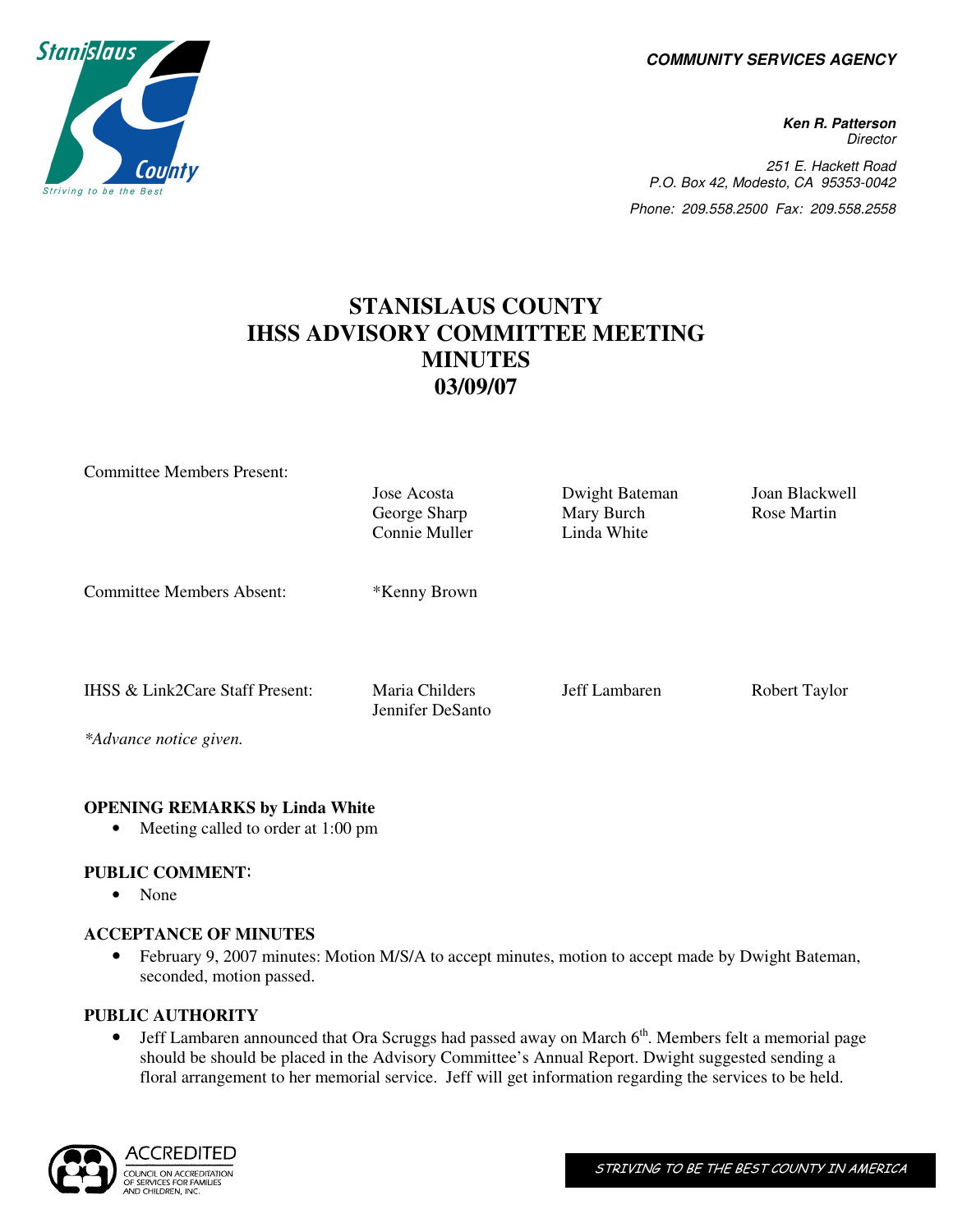**COMMUNITY SERVICES AGENCY** 

**Ken R. Patterson Director** 251 E. Hackett Road P.O. Box 42, Modesto, CA 95353-0042 Phone: 209.558.2500 Fax: 209.558.2558

# **STANISLAUS COUNTY IHSS ADVISORY COMMITTEE MEETING MINUTES 03/09/07**

| <b>Committee Members Present:</b> |                  |                |                |
|-----------------------------------|------------------|----------------|----------------|
|                                   | Jose Acosta      | Dwight Bateman | Joan Blackwell |
|                                   | George Sharp     | Mary Burch     | Rose Martin    |
|                                   | Connie Muller    | Linda White    |                |
|                                   |                  |                |                |
|                                   |                  |                |                |
| <b>Committee Members Absent:</b>  | *Kenny Brown     |                |                |
|                                   |                  |                |                |
|                                   |                  |                |                |
|                                   |                  |                |                |
| IHSS & Link2Care Staff Present:   | Maria Childers   | Jeff Lambaren  | Robert Taylor  |
|                                   | Jennifer DeSanto |                |                |
| *Advance notice given.            |                  |                |                |
|                                   |                  |                |                |

# **OPENING REMARKS by Linda White**

• Meeting called to order at 1:00 pm

## **PUBLIC COMMENT**:

• None

#### **ACCEPTANCE OF MINUTES**

• February 9, 2007 minutes: Motion M/S/A to accept minutes, motion to accept made by Dwight Bateman, seconded, motion passed.

#### **PUBLIC AUTHORITY**

• Jeff Lambaren announced that Ora Scruggs had passed away on March  $6<sup>th</sup>$ . Members felt a memorial page should be should be placed in the Advisory Committee's Annual Report. Dwight suggested sending a floral arrangement to her memorial service. Jeff will get information regarding the services to be held.



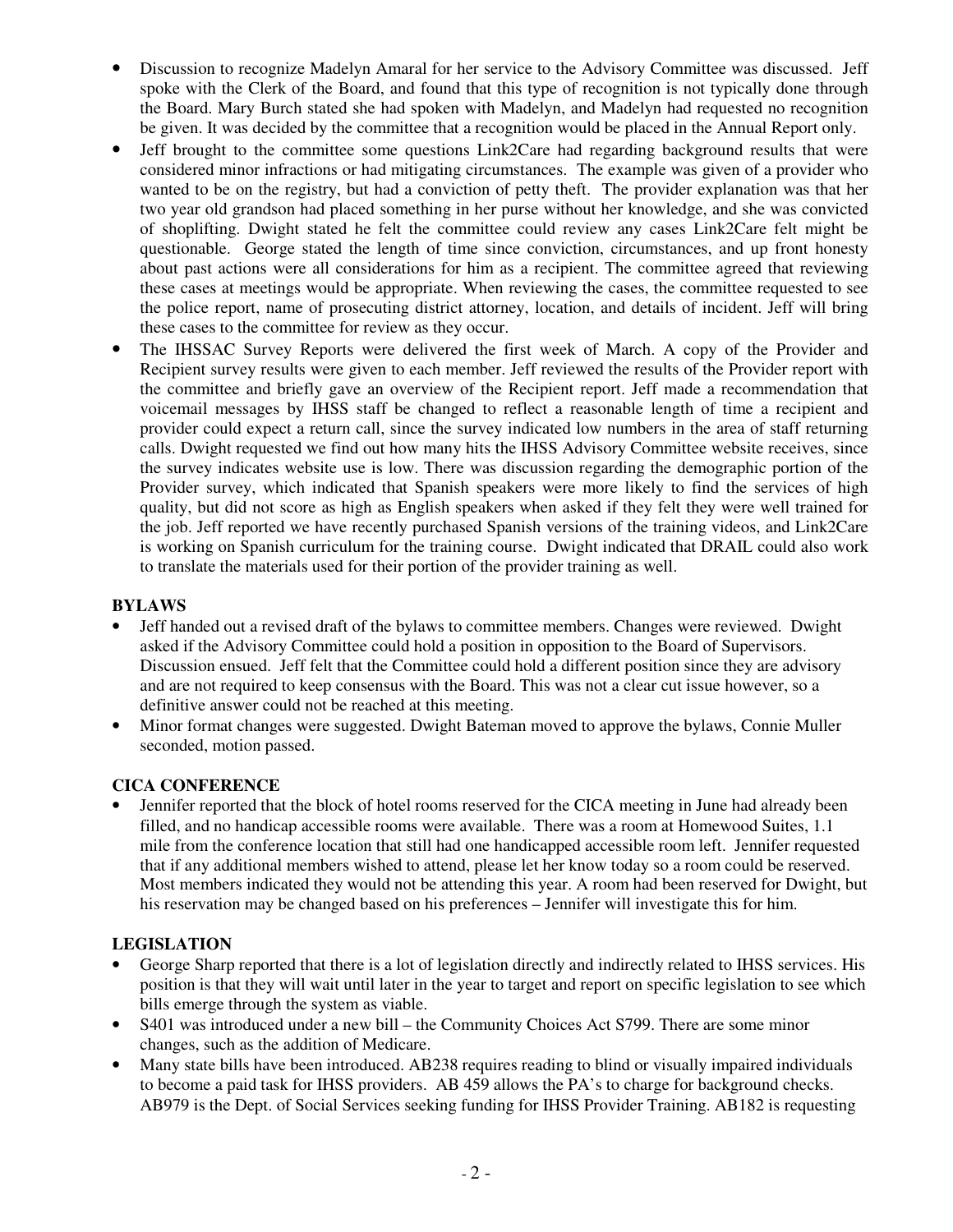- Discussion to recognize Madelyn Amaral for her service to the Advisory Committee was discussed. Jeff spoke with the Clerk of the Board, and found that this type of recognition is not typically done through the Board. Mary Burch stated she had spoken with Madelyn, and Madelyn had requested no recognition be given. It was decided by the committee that a recognition would be placed in the Annual Report only.
- Jeff brought to the committee some questions Link2Care had regarding background results that were considered minor infractions or had mitigating circumstances. The example was given of a provider who wanted to be on the registry, but had a conviction of petty theft. The provider explanation was that her two year old grandson had placed something in her purse without her knowledge, and she was convicted of shoplifting. Dwight stated he felt the committee could review any cases Link2Care felt might be questionable. George stated the length of time since conviction, circumstances, and up front honesty about past actions were all considerations for him as a recipient. The committee agreed that reviewing these cases at meetings would be appropriate. When reviewing the cases, the committee requested to see the police report, name of prosecuting district attorney, location, and details of incident. Jeff will bring these cases to the committee for review as they occur.
- The IHSSAC Survey Reports were delivered the first week of March. A copy of the Provider and Recipient survey results were given to each member. Jeff reviewed the results of the Provider report with the committee and briefly gave an overview of the Recipient report. Jeff made a recommendation that voicemail messages by IHSS staff be changed to reflect a reasonable length of time a recipient and provider could expect a return call, since the survey indicated low numbers in the area of staff returning calls. Dwight requested we find out how many hits the IHSS Advisory Committee website receives, since the survey indicates website use is low. There was discussion regarding the demographic portion of the Provider survey, which indicated that Spanish speakers were more likely to find the services of high quality, but did not score as high as English speakers when asked if they felt they were well trained for the job. Jeff reported we have recently purchased Spanish versions of the training videos, and Link2Care is working on Spanish curriculum for the training course. Dwight indicated that DRAIL could also work to translate the materials used for their portion of the provider training as well.

## **BYLAWS**

- Jeff handed out a revised draft of the bylaws to committee members. Changes were reviewed. Dwight asked if the Advisory Committee could hold a position in opposition to the Board of Supervisors. Discussion ensued. Jeff felt that the Committee could hold a different position since they are advisory and are not required to keep consensus with the Board. This was not a clear cut issue however, so a definitive answer could not be reached at this meeting.
- Minor format changes were suggested. Dwight Bateman moved to approve the bylaws, Connie Muller seconded, motion passed.

#### **CICA CONFERENCE**

• Jennifer reported that the block of hotel rooms reserved for the CICA meeting in June had already been filled, and no handicap accessible rooms were available. There was a room at Homewood Suites, 1.1 mile from the conference location that still had one handicapped accessible room left. Jennifer requested that if any additional members wished to attend, please let her know today so a room could be reserved. Most members indicated they would not be attending this year. A room had been reserved for Dwight, but his reservation may be changed based on his preferences – Jennifer will investigate this for him.

#### **LEGISLATION**

- George Sharp reported that there is a lot of legislation directly and indirectly related to IHSS services. His position is that they will wait until later in the year to target and report on specific legislation to see which bills emerge through the system as viable.
- S401 was introduced under a new bill the Community Choices Act S799. There are some minor changes, such as the addition of Medicare.
- Many state bills have been introduced. AB238 requires reading to blind or visually impaired individuals to become a paid task for IHSS providers. AB 459 allows the PA's to charge for background checks. AB979 is the Dept. of Social Services seeking funding for IHSS Provider Training. AB182 is requesting